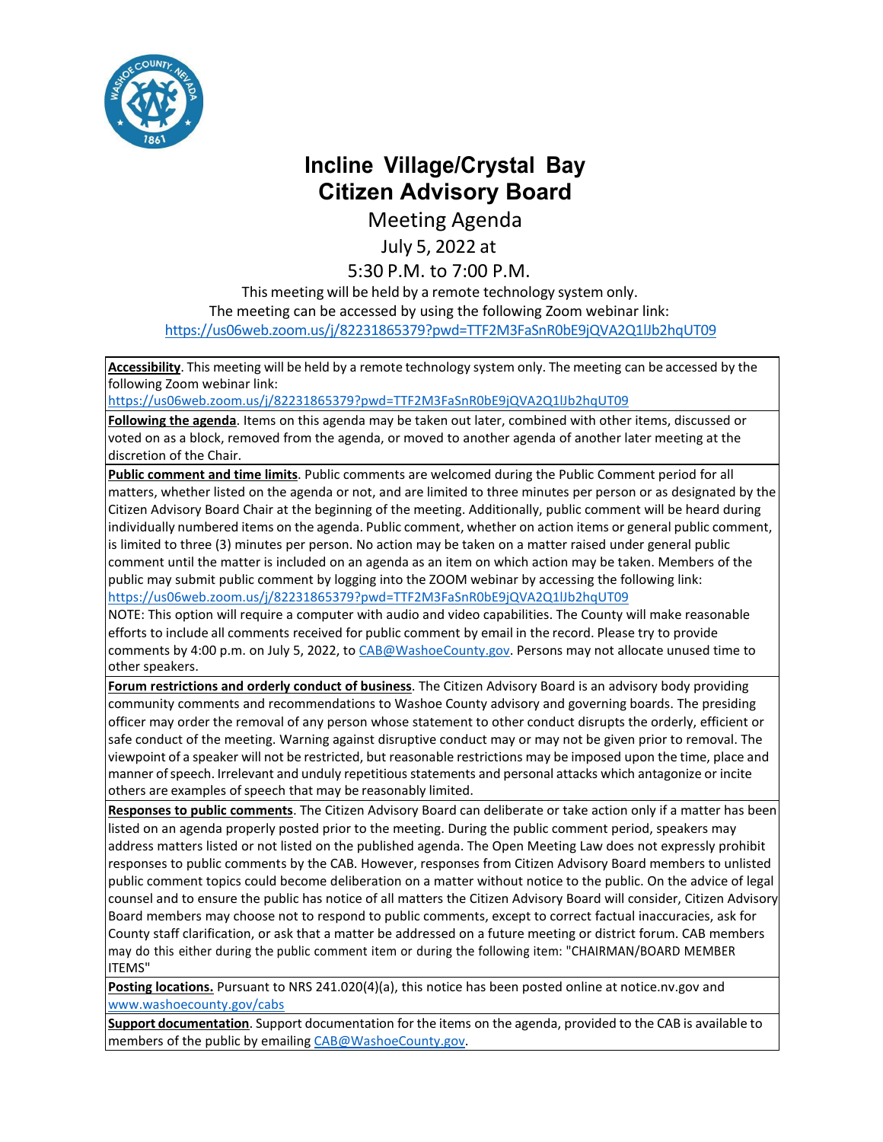

## **Incline Village/Crystal Bay Citizen Advisory Board**

Meeting Agenda

July 5, 2022 at

## 5:30 P.M. to 7:00 P.M.

This meeting will be held by a remote technology system only. The meeting can be accessed by using the following Zoom webinar link: <https://us06web.zoom.us/j/82231865379?pwd=TTF2M3FaSnR0bE9jQVA2Q1lJb2hqUT09>

**Accessibility**. This meeting will be held by a remote technology system only. The meeting can be accessed by the following Zoom webinar link:

<https://us06web.zoom.us/j/82231865379?pwd=TTF2M3FaSnR0bE9jQVA2Q1lJb2hqUT09>

**Following the agenda**. Items on this agenda may be taken out later, combined with other items, discussed or voted on as a block, removed from the agenda, or moved to another agenda of another later meeting at the discretion of the Chair.

**Public comment and time limits**. Public comments are welcomed during the Public Comment period for all matters, whether listed on the agenda or not, and are limited to three minutes per person or as designated by the Citizen Advisory Board Chair at the beginning of the meeting. Additionally, public comment will be heard during individually numbered items on the agenda. Public comment, whether on action items or general public comment, is limited to three (3) minutes per person. No action may be taken on a matter raised under general public comment until the matter is included on an agenda as an item on which action may be taken. Members of the public may submit public comment by logging into the ZOOM webinar by accessing the following link: <https://us06web.zoom.us/j/82231865379?pwd=TTF2M3FaSnR0bE9jQVA2Q1lJb2hqUT09>

NOTE: This option will require a computer with audio and video capabilities. The County will make reasonable efforts to include all comments received for public comment by email in the record. Please try to provide comments by 4:00 p.m. on July 5, 2022, to [CAB@WashoeCounty.gov. P](mailto:CAB@WashoeCounty.gov)ersons may not allocate unused time to other speakers.

**Forum restrictions and orderly conduct of business**. The Citizen Advisory Board is an advisory body providing community comments and recommendations to Washoe County advisory and governing boards. The presiding officer may order the removal of any person whose statement to other conduct disrupts the orderly, efficient or safe conduct of the meeting. Warning against disruptive conduct may or may not be given prior to removal. The viewpoint of a speaker will not be restricted, but reasonable restrictions may be imposed upon the time, place and manner ofspeech. Irrelevant and unduly repetitious statements and personal attacks which antagonize or incite others are examples of speech that may be reasonably limited.

**Responses to public comments**. The Citizen Advisory Board can deliberate or take action only if a matter has been listed on an agenda properly posted prior to the meeting. During the public comment period, speakers may address matters listed or not listed on the published agenda. The Open Meeting Law does not expressly prohibit responses to public comments by the CAB. However, responses from Citizen Advisory Board members to unlisted public comment topics could become deliberation on a matter without notice to the public. On the advice of legal counsel and to ensure the public has notice of all matters the Citizen Advisory Board will consider, Citizen Advisory Board members may choose not to respond to public comments, except to correct factual inaccuracies, ask for County staff clarification, or ask that a matter be addressed on a future meeting or district forum. CAB members may do this either during the public comment item or during the following item: "CHAIRMAN/BOARD MEMBER ITEMS"

Posting locations. Pursuant to NRS 241.020(4)(a), this notice has been posted online at notice.nv.gov and [www.washoecounty.gov/cabs](http://www.washoecounty.gov/cabs)

**Support documentation**. Support documentation for the items on the agenda, provided to the CAB is available to members of the public by emailing [CAB@WashoeCounty.gov.](mailto:CAB@WashoeCounty.gov)